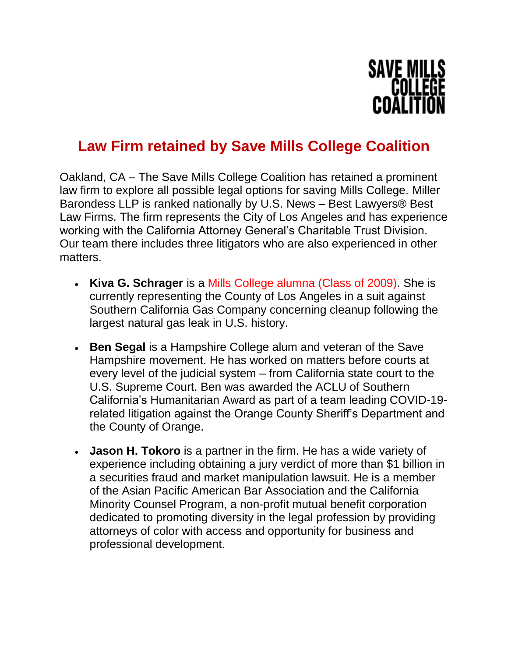

## **Law Firm retained by Save Mills College Coalition**

Oakland, CA – The Save Mills College Coalition has retained a prominent law firm to explore all possible legal options for saving Mills College. Miller Barondess LLP is ranked nationally by U.S. News – Best Lawyers® Best Law Firms. The firm represents the City of Los Angeles and has experience working with the California Attorney General's Charitable Trust Division. Our team there includes three litigators who are also experienced in other matters.

- **Kiva G. Schrager** is a Mills College alumna (Class of 2009). She is currently representing the County of Los Angeles in a suit against Southern California Gas Company concerning cleanup following the largest natural gas leak in U.S. history.
- **Ben Segal** is a Hampshire College alum and veteran of the Save Hampshire movement. He has worked on matters before courts at every level of the judicial system – from California state court to the U.S. Supreme Court. Ben was awarded the ACLU of Southern California's Humanitarian Award as part of a team leading COVID-19 related litigation against the Orange County Sheriff's Department and the County of Orange.
- **Jason H. Tokoro** is a partner in the firm. He has a wide variety of experience including obtaining a jury verdict of more than \$1 billion in a securities fraud and market manipulation lawsuit. He is a member of the Asian Pacific American Bar Association and the California Minority Counsel Program, a non-profit mutual benefit corporation dedicated to promoting diversity in the legal profession by providing attorneys of color with access and opportunity for business and professional development.